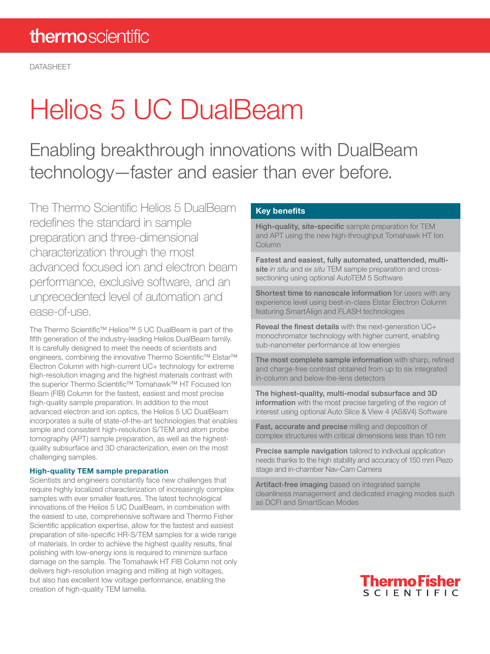# Helios 5 UC DualBeam

Enabling breakthrough innovations with DualBeam technology—faster and easier than ever before.

The Thermo Scientific Helios 5 DualBeam redefines the standard in sample preparation and three-dimensional characterization through the most advanced focused ion and electron beam performance, exclusive software, and an unprecedented level of automation and ease-of-use.

The Thermo Scientific™ Helios™ 5 UC DualBeam is part of the fifth generation of the industry-leading Helios DualBeam family. It is carefully designed to meet the needs of scientists and engineers, combining the innovative Thermo Scientific™ Elstar™ Electron Column with high-current UC+ technology for extreme high-resolution imaging and the highest materials contrast with the superior Thermo Scientific™ Tomahawk™ HT Focused Ion Beam (FIB) Column for the fastest, easiest and most precise high-quality sample preparation. In addition to the most advanced electron and ion optics, the Helios 5 UC DualBeam incorporates a suite of state-of-the-art technologies that enables simple and consistent high-resolution S/TEM and atom probe tomography (APT) sample preparation, as well as the highestquality subsurface and 3D characterization, even on the most challenging samples.

# High-quality TEM sample preparation

Scientists and engineers constantly face new challenges that require highly localized characterization of increasingly complex samples with ever smaller features. The latest technological innovations of the Helios 5 UC DualBeam, in combination with the easiest to use, comprehensive software and Thermo Fisher Scientific application expertise, allow for the fastest and easiest preparation of site-specific HR-S/TEM samples for a wide range of materials. In order to achieve the highest quality results, final polishing with low-energy ions is required to minimize surface damage on the sample. The Tomahawk HT FIB Column not only delivers high-resolution imaging and milling at high voltages, but also has excellent low voltage performance, enabling the creation of high-quality TEM lamella.

# Key benefits

High-quality, site-specific sample preparation for TEM and APT using the new high-throughput Tomahawk HT Ion **Column** 

Fastest and easiest, fully automated, unattended, multisite *in situ* and *ex situ* TEM sample preparation and crosssectioning using optional AutoTEM 5 Software

Shortest time to nanoscale information for users with any experience level using best-in-class Elstar Electron Column featuring SmartAlign and FLASH technologies

Reveal the finest details with the next-generation UC+ monochromator technology with higher current, enabling sub-nanometer performance at low energies

The most complete sample information with sharp, refined and charge-free contrast obtained from up to six integrated in-column and below-the-lens detectors

The highest-quality, multi-modal subsurface and 3D information with the most precise targeting of the region of interest using optional Auto Slice & View 4 (AS&V4) Software

Fast, accurate and precise milling and deposition of complex structures with critical dimensions less than 10 nm

Precise sample navigation tailored to individual application needs thanks to the high stability and accuracy of 150 mm Piezo stage and in-chamber Nav-Cam Camera

Artifact-free imaging based on integrated sample cleanliness management and dedicated imaging modes such as DCFI and SmartScan Modes

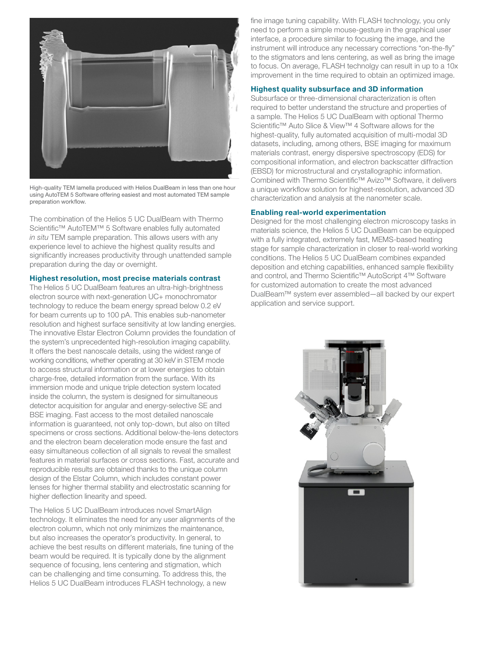

High-quality TEM lamella produced with Helios DualBeam in less than one hour using AutoTEM 5 Software offering easiest and most automated TEM sample preparation workflow.

The combination of the Helios 5 UC DualBeam with Thermo Scientific™ AutoTEM™ 5 Software enables fully automated *in situ* TEM sample preparation. This allows users with any experience level to achieve the highest quality results and significantly increases productivity through unattended sample preparation during the day or overnight.

#### Highest resolution, most precise materials contrast

The Helios 5 UC DualBeam features an ultra-high-brightness electron source with next-generation UC+ monochromator technology to reduce the beam energy spread below 0.2 eV for beam currents up to 100 pA. This enables sub-nanometer resolution and highest surface sensitivity at low landing energies. The innovative Elstar Electron Column provides the foundation of the system's unprecedented high-resolution imaging capability. It offers the best nanoscale details, using the widest range of working conditions, whether operating at 30 keV in STEM mode to access structural information or at lower energies to obtain charge-free, detailed information from the surface. With its immersion mode and unique triple detection system located inside the column, the system is designed for simultaneous detector acquisition for angular and energy-selective SE and BSE imaging. Fast access to the most detailed nanoscale information is guaranteed, not only top-down, but also on tilted specimens or cross sections. Additional below-the-lens detectors and the electron beam deceleration mode ensure the fast and easy simultaneous collection of all signals to reveal the smallest features in material surfaces or cross sections. Fast, accurate and reproducible results are obtained thanks to the unique column design of the Elstar Column, which includes constant power lenses for higher thermal stability and electrostatic scanning for higher deflection linearity and speed.

The Helios 5 UC DualBeam introduces novel SmartAlign technology. It eliminates the need for any user alignments of the electron column, which not only minimizes the maintenance, but also increases the operator's productivity. In general, to achieve the best results on different materials, fine tuning of the beam would be required. It is typically done by the alignment sequence of focusing, lens centering and stigmation, which can be challenging and time consuming. To address this, the Helios 5 UC DualBeam introduces FLASH technology, a new

fine image tuning capability. With FLASH technology, you only need to perform a simple mouse-gesture in the graphical user interface, a procedure similar to focusing the image, and the instrument will introduce any necessary corrections "on-the-fly" to the stigmators and lens centering, as well as bring the image to focus. On average, FLASH technolgy can result in up to a 10x improvement in the time required to obtain an optimized image.

# Highest quality subsurface and 3D information

Subsurface or three-dimensional characterization is often required to better understand the structure and properties of a sample. The Helios 5 UC DualBeam with optional Thermo Scientific™ Auto Slice & View™ 4 Software allows for the highest-quality, fully automated acquisition of multi-modal 3D datasets, including, among others, BSE imaging for maximum materials contrast, energy dispersive spectroscopy (EDS) for compositional information, and electron backscatter diffraction (EBSD) for microstructural and crystallographic information. Combined with Thermo Scientific™ Avizo™ Software, it delivers a unique workflow solution for highest-resolution, advanced 3D characterization and analysis at the nanometer scale.

#### Enabling real-world experimentation

Designed for the most challenging electron microscopy tasks in materials science, the Helios 5 UC DualBeam can be equipped with a fully integrated, extremely fast, MEMS-based heating stage for sample characterization in closer to real-world working conditions. The Helios 5 UC DualBeam combines expanded deposition and etching capabilities, enhanced sample flexibility and control, and Thermo Scientific™ AutoScript 4™ Software for customized automation to create the most advanced DualBeam™ system ever assembled—all backed by our expert application and service support.

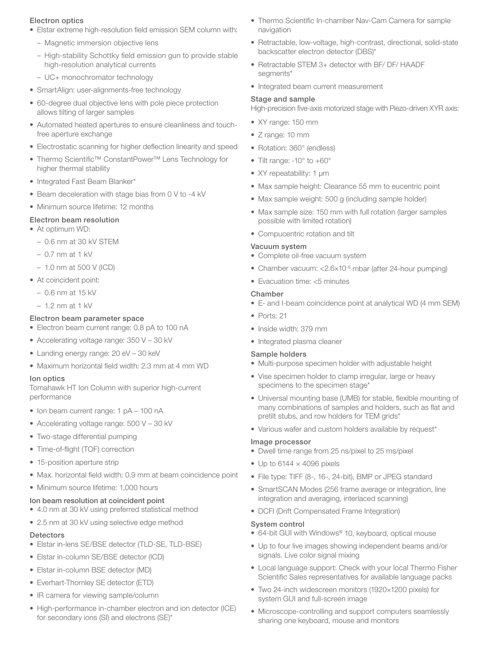# Electron optics

- Elstar extreme high-resolution field emission SEM column with:
	- Magnetic immersion objective lens
	- High-stability Schottky field emission gun to provide stable high-resolution analytical currents
	- UC+ monochromator technology
- SmartAlign: user-alignments-free technology
- 60-degree dual objective lens with pole piece protection allows tilting of larger samples
- Automated heated apertures to ensure cleanliness and touchfree aperture exchange
- Electrostatic scanning for higher deflection linearity and speed
- Thermo Scientific™ ConstantPower™ Lens Technology for higher thermal stability
- Integrated Fast Beam Blanker\*
- Beam deceleration with stage bias from 0 V to -4 kV
- Minimum source lifetime: 12 months

# Electron beam resolution

- At optimum WD:
	- 0.6 nm at 30 kV STEM
	- $-$  0.7 nm at 1 kV
	- 1.0 nm at 500 V (ICD)
- At coincident point:
	- 0.6 nm at 15 kV
	- 1.2 nm at 1 kV

# Electron beam parameter space

- Electron beam current range: 0.8 pA to 100 nA
- Accelerating voltage range: 350 V 30 kV
- Landing energy range: 20 eV 30 keV
- Maximum horizontal field width: 2.3 mm at 4 mm WD

# Ion optics

Tomahawk HT Ion Column with superior high-current performance

- Ion beam current range: 1 pA 100 nA
- Accelerating voltage range: 500 V 30 kV
- Two-stage differential pumping
- Time-of-flight (TOF) correction
- 15-position aperture strip
- Max. horizontal field width: 0.9 mm at beam coincidence point
- Minimum source lifetime: 1,000 hours

# Ion beam resolution at coincident point

- 4.0 nm at 30 kV using preferred statistical method
- 2.5 nm at 30 kV using selective edge method

# **Detectors**

- Elstar in-lens SE/BSE detector (TLD-SE, TLD-BSE)
- Elstar in-column SE/BSE detector (ICD)
- Elstar in-column BSE detector (MD)
- Everhart-Thornley SE detector (ETD)
- IR camera for viewing sample/column
- High-performance in-chamber electron and ion detector (ICE) for secondary ions (SI) and electrons (SE)\*
- Thermo Scientific In-chamber Nav-Cam Camera for sample navigation
- Retractable, low-voltage, high-contrast, directional, solid-state backscatter electron detector (DBS)\*
- Retractable STEM 3+ detector with BF/ DF/ HAADF segments\*
- Integrated beam current measurement

#### Stage and sample

High-precision five-axis motorized stage with Piezo-driven XYR axis:

- XY range: 150 mm
- Z range: 10 mm
- Rotation: 360° (endless)
- Tilt range: -10° to +60°
- XY repeatability: 1 μm
- Max sample height: Clearance 55 mm to eucentric point
- Max sample weight: 500 g (including sample holder)
- Max sample size: 150 mm with full rotation (larger samples possible with limited rotation)
- Compucentric rotation and tilt

#### Vacuum system

- Complete oil-free vacuum system
- Chamber vacuum: <2.6×10<sup>-6</sup> mbar (after 24-hour pumping)
- Evacuation time: <5 minutes

# Chamber

- E- and I-beam coincidence point at analytical WD (4 mm SEM)
- Ports: 21
- Inside width: 379 mm
- Integrated plasma cleaner

# Sample holders

- Multi-purpose specimen holder with adjustable height
- Vise specimen holder to clamp irregular, large or heavy specimens to the specimen stage\*
- Universal mounting base (UMB) for stable, flexible mounting of many combinations of samples and holders, such as flat and pretilt stubs, and row holders for TEM grids\*
- Various wafer and custom holders available by request\*

#### Image processor

- Dwell time range from 25 ns/pixel to 25 ms/pixel
- $\bullet$  Up to 6144  $\times$  4096 pixels
- File type: TIFF (8-, 16-, 24-bit), BMP or JPEG standard
- SmartSCAN Modes (256 frame average or integration, line integration and averaging, interlaced scanning)
- DCFI (Drift Compensated Frame Integration)

# System control

- 64-bit GUI with Windows® 10, keyboard, optical mouse
- Up to four live images showing independent beams and/or signals. Live color signal mixing
- Local language support: Check with your local Thermo Fisher Scientific Sales representatives for available language packs
- Two 24-inch widescreen monitors (1920×1200 pixels) for system GUI and full-screen image
- Microscope-controlling and support computers seamlessly sharing one keyboard, mouse and monitors